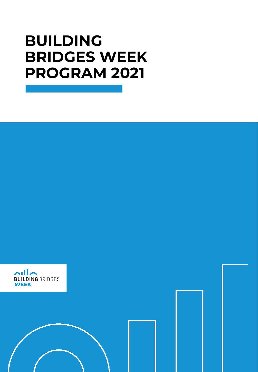#### **BUILDING BRIDGES WEEK PROGRAM 2021**

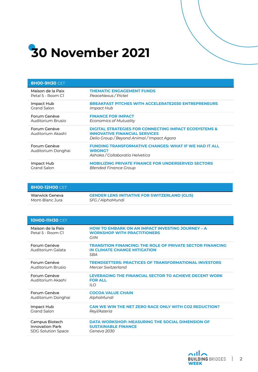

| <b>8H00-9H30 CET</b>               |                                                                                                                                                        |
|------------------------------------|--------------------------------------------------------------------------------------------------------------------------------------------------------|
| Maison de la Paix                  | <b>THEMATIC ENGAGEMENT FUNDS</b>                                                                                                                       |
| Petal 5 - Room C1                  | PeaceNexus / Pictet                                                                                                                                    |
| Impact Hub                         | <b>BREAKFAST PITCHES WITH ACCELERATE2030 ENTREPRENEURS</b>                                                                                             |
| Grand Salon                        | Impact Hub                                                                                                                                             |
| Forum Genève                       | <b>FINANCE FOR IMPACT</b>                                                                                                                              |
| Auditorium Brusio                  | Economics of Mutuality                                                                                                                                 |
| Forum Genève<br>Auditorium Akashi  | <b>DIGITAL STRATEGIES FOR CONNECTING IMPACT ECOSYSTEMS &amp;</b><br><b>INNOVATIVE FINANCIAL SERVICES</b><br>Delio Group / Beyond Animal / Impact Agora |
| Forum Genève<br>Auditorium Donghai | <b>FUNDING TRANSFORMATIVE CHANGES: WHAT IF WE HAD IT ALL</b><br><b>WRONG?</b><br>Ashoka / Collaboratio Helvetica                                       |
| Impact Hub                         | <b>MOBILIZING PRIVATE FINANCE FOR UNDERSERVED SECTORS</b>                                                                                              |
| Grand Salon                        | Blended Finance Group                                                                                                                                  |

| <b>8HOO-12HOO</b> CET |                                                      |
|-----------------------|------------------------------------------------------|
| Warwick Geneva        | <b>GENDER LENS INITIATIVE FOR SWITZERLAND (GLIS)</b> |
| Mont-Blanc Jura       | SFG / AlphaMundi                                     |

| <b>10H00-11H30</b> CET                 |                                                                                                          |
|----------------------------------------|----------------------------------------------------------------------------------------------------------|
| Maison de la Paix<br>Petal 5 - Room CI | <b>HOW TO EMBARK ON AN IMPACT INVESTING JOURNEY - A</b><br><b>WORKSHOP WITH PRACTITIONERS</b><br>GIIN    |
| Forum Genève<br>Auditorium Galata      | <b>TRANSITION FINANCING: THE ROLE OF PRIVATE SECTOR FINANCING</b><br>IN CLIMATE CHANGE MITIGATION<br>SBA |
| Forum Genève                           | <b>TRENDSETTERS: PRACTICES OF TRANSFORMATIONAL INVESTORS</b>                                             |
| Auditorium Brusio                      | Mercer Switzerland                                                                                       |
| Forum Genève<br>Auditorium Akashi      | LEVERAGING THE FINANCIAL SECTOR TO ACHIEVE DECENT WORK<br><b>FOR ALL</b><br>ILO                          |
| Forum Genève                           | <b>COCOA VALUE CHAIN</b>                                                                                 |
| Auditorium Donghai                     | AlphaMundi                                                                                               |
| Impact Hub                             | CAN WE WIN THE NET ZERO RACE ONLY WITH CO2 REDUCTION?                                                    |
| <b>Grand Salon</b>                     | Reyl/Asteria                                                                                             |
| Campus Biotech                         | <b>DATA WORKSHOP: MEASURING THE SOCIAL DIMENSION OF</b>                                                  |
| <b>Innovation Park</b>                 | <b>SUSTAINABLE FINANCE</b>                                                                               |
| <b>SDG Solution Space</b>              | Geneva 2030                                                                                              |

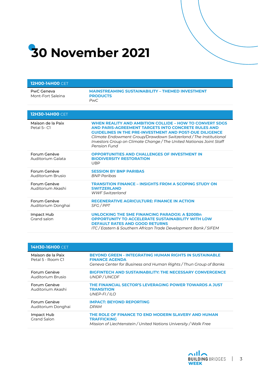# **30 November 2021**

| <b>12H00-14H00 CET</b>             |                                                                                                                                                                                                                                                                                                                                                    |
|------------------------------------|----------------------------------------------------------------------------------------------------------------------------------------------------------------------------------------------------------------------------------------------------------------------------------------------------------------------------------------------------|
| PwC Geneva<br>Mont-Fort Saleina    | <b>MAINSTREAMING SUSTAINABILITY - THEMED INVESTMENT</b><br><b>PRODUCTS</b><br>PwC.                                                                                                                                                                                                                                                                 |
|                                    |                                                                                                                                                                                                                                                                                                                                                    |
| <b>12H30-14H00 CET</b>             |                                                                                                                                                                                                                                                                                                                                                    |
| Maison de la Paix<br>Petal 5-C1    | <b>WHEN REALITY AND AMBITION COLLIDE - HOW TO CONVERT SDGS</b><br>AND PARIS-AGREEMENT TARGETS INTO CONCRETE RULES AND<br><b>GUIDELINES IN THE PRE-INVESTMENT AND POST-DUE DILIGENCE</b><br>Climate Endowment Group/Drawdown Switzerland / The Institutional<br>Investors Group on Climate Change / The United Nationas Joint Staff<br>Pension Fund |
| Forum Genève<br>Auditorium Galata  | <b>OPPORTUNITIES AND CHALLENGES OF INVESTMENT IN</b><br><b>BIODIVERSITY RESTORATION</b><br><b>UBP</b>                                                                                                                                                                                                                                              |
| Forum Genève<br>Auditorium Brusio  | <b>SESSION BY BNP PARIBAS</b><br><b>BNP Paribas</b>                                                                                                                                                                                                                                                                                                |
| Forum Genève<br>Auditorium Akashi  | <b>TRANSITION FINANCE - INSIGHTS FROM A SCOPING STUDY ON</b><br><b>SWITZERLAND</b><br><b>WWF Switzerland</b>                                                                                                                                                                                                                                       |
| Forum Genève<br>Auditorium Donghai | <b>REGENERATIVE AGRICULTURE: FINANCE IN ACTION</b><br><b>SFG / PPT</b>                                                                                                                                                                                                                                                                             |
| Impact Hub<br>Grand salon          | <b>UNLOCKING THE SME FINANCING PARADOX: A \$200Bn</b><br><b>OPPORTUNITY TO ACCELERATE SUSTAINABILITY WITH LOW</b><br><b>DEFAULT RATES AND GOOD RETURNS</b><br>ITC / Eastern & Southern African Trade Development Bank / SIFEM                                                                                                                      |

| <b>14H30-16H00 CET</b>                 |                                                                                                                                                             |
|----------------------------------------|-------------------------------------------------------------------------------------------------------------------------------------------------------------|
| Maison de la Paix<br>Petal 5 - Room Cl | <b>BEYOND GREEN - INTEGRATING HUMAN RIGHTS IN SUSTAINABLE</b><br><b>FINANCE AGENDA</b><br>Geneva Center for Business and Human Rights / Thun Group of Banks |
| Forum Genève<br>Auditorium Brusio      | <b>BIGFINTECH AND SUSTAINABILITY: THE NECESSARY CONVERGENCE</b><br>UNDP/UNCDF                                                                               |
| Forum Genève<br>Auditorium Akashi      | THE FINANCIAL SECTOR'S LEVERAGING POWER TOWARDS A JUST<br><b>TRANSITION</b><br>UNEP-FI/ILO                                                                  |
| Forum Genève<br>Auditorium Donghai     | <b>IMPACT: BEYOND REPORTING</b><br><b>DPAM</b>                                                                                                              |
| Impact Hub<br>Grand Salon              | THE ROLE OF FINANCE TO END MODERN SLAVERY AND HUMAN<br><b>TRAFFICKING</b><br>Mission of Liechtenstein / United Nations University / Walk Free               |

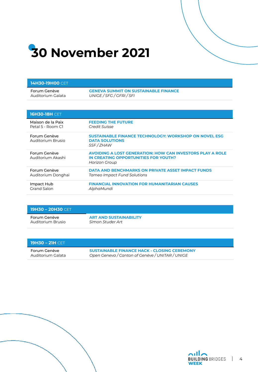# **30 November 2021**

**14H30-19H00** CET

| Forum Genève                      | <b>GENEVA SUMMIT ON SUSTAINABLE FINANCE</b>                                                                                      |
|-----------------------------------|----------------------------------------------------------------------------------------------------------------------------------|
| Auditorium Galata                 | UNIGE / SFG / GFRI / SFI                                                                                                         |
| <b>16H30-18H CET</b>              |                                                                                                                                  |
|                                   |                                                                                                                                  |
| Maison de la Paix                 | <b>FEEDING THE FUTURE</b>                                                                                                        |
| Petal 5 - Room C1                 | Credit Suisse                                                                                                                    |
| Forum Genève<br>Auditorium Brusio | SUSTAINABLE FINANCE TECHNOLOGY: WORKSHOP ON NOVEL ESG<br><b>DATA SOLUTIONS</b><br>SSF/ZHAW                                       |
| Forum Genève<br>Auditorium Akashi | <b>AVOIDING A LOST GENERATION: HOW CAN INVESTORS PLAY A ROLE</b><br>IN CREATING OPPORTUNITIES FOR YOUTH?<br><b>Horizon Group</b> |
| Forum Genève                      | <b>DATA AND BENCHMARKS ON PRIVATE ASSET IMPACT FUNDS</b>                                                                         |
| Auditorium Donghai                | Tameo Impact Fund Solutions                                                                                                      |
| Impact Hub                        | <b>FINANCIAL INNOVATION FOR HUMANITARIAN CAUSES</b>                                                                              |
| <b>Grand Salon</b>                | AlphaMundi                                                                                                                       |

| <b>19H30 - 20H30</b> CET |                               |
|--------------------------|-------------------------------|
| Forum Genève             | <b>ART AND SUSTAINABILITY</b> |
| Auditorium Brusio        | Simon Studer Art              |

| <b>19H30 – 21H</b> CET |                                                    |
|------------------------|----------------------------------------------------|
| Forum Genève           | <b>SUSTAINABLE FINANCE HACK - CLOSING CEREMONY</b> |
| Auditorium Galata      | Open Geneva / Canton of Genève / UNITAR / UNIGE    |



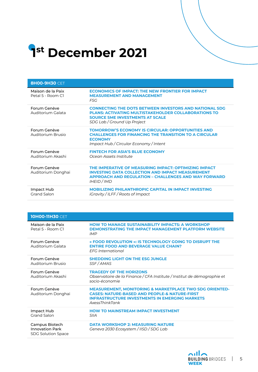## **1 st December 2021**

| <b>8H00-9H30 CET</b>                   |                                                                                                                                                                                                       |
|----------------------------------------|-------------------------------------------------------------------------------------------------------------------------------------------------------------------------------------------------------|
| Maison de la Paix<br>Petal 5 - Room Cl | <b>ECONOMICS OF IMPACT: THE NEW FRONTIER FOR IMPACT</b><br><b>MEASUREMENT AND MANAGEMENT</b><br>F.SG                                                                                                  |
| Forum Genève<br>Auditorium Galata      | <b>CONNECTING THE DOTS BETWEEN INVESTORS AND NATIONAL SDG</b><br><b>PLANS: ACTIVATING MULTISTAKEHOLDER COLLABORATIONS TO</b><br><b>SOURCE SME INVESTMENTS AT SCALE</b><br>SDG Lab / Ground Up Project |
| Forum Genève<br>Auditorium Brusio      | <b>TOMORROW'S ECONOMY IS CIRCULAR: OPPORTUNITIES AND</b><br><b>CHALLENGES FOR FINANCING THE TRANSITION TO A CIRCULAR</b><br><b>ECONOMY</b><br>Impact Hub / Circular Economy / Intent                  |
| Forum Genève<br>Auditorium Akashi      | <b>FINTECH FOR ASIA'S BLUE ECONOMY</b><br>Ocean Assets Institute                                                                                                                                      |
| Forum Genève<br>Auditorium Donghai     | THE IMPERATIVE OF MEASURING IMPACT: OPTIMIZING IMPACT<br><b>INVESTING DATA COLLECTION AND IMPACT MEASUREMENT</b><br><b>APPROACH AND REGULATION - CHALLENGES AND WAY FORWARD</b><br><b>IHEID</b> / IMD |
| Impact Hub<br>Grand Salon              | <b>MOBILIZING PHILANTHROPIC CAPITAL IN IMPACT INVESTING</b><br>iGravity / ILFF / Roots of Impact                                                                                                      |

| <b>10H00-11H30 CET</b>                                                |                                                                                                                                                                                                           |
|-----------------------------------------------------------------------|-----------------------------------------------------------------------------------------------------------------------------------------------------------------------------------------------------------|
| Maison de la Paix<br>Petal 5 - Room C1                                | <b>HOW TO MANAGE SUSTAINABILITY IMPACTS: A WORKSHOP</b><br><b>DEMONSTRATING THE IMPACT MANAGEMENT PLATFORM WEBSITE</b><br><b>IMP</b>                                                                      |
| Forum Genève<br>Auditorium Galata                                     | « FOOD REVOLUTION »: IS TECHNOLOGY GOING TO DISRUPT THE<br><b>ENTIRE FOOD AND BEVERAGE VALUE CHAIN?</b><br>EFG International                                                                              |
| Forum Genève<br>Auditorium Brusio                                     | <b>SHEDDING LIGHT ON THE ESG JUNGLE</b><br>SSF/AMAS                                                                                                                                                       |
| Forum Genève<br>Auditorium Akashi                                     | <b>TRAGEDY OF THE HORIZONS</b><br>Observatoire de la Finance / CFA Institute / Institut de démographie et<br>socio-économie                                                                               |
| Forum Genève<br>Auditorium Donghai                                    | <b>MEASUREMENT, MONITORING &amp; MARKETPLACE TWO SDG ORIENTED-</b><br><b>CASES: NATURE-BASED AND PEOPLE-&amp; NATURE-FIRST</b><br><b>INFRASTRUCTURE INVESTMENTS IN EMERGING MARKETS</b><br>AxessThinkTank |
| Impact Hub<br><b>Grand Salon</b>                                      | <b>HOW TO MAINSTREAM IMPACT INVESTMENT</b><br><b>SIIA</b>                                                                                                                                                 |
| Campus Biotech<br><b>Innovation Park</b><br><b>SDG Solution Space</b> | <b>DATA WORKSHOP 2: MEASURING NATURE</b><br>Geneva 2030 Ecosystem / IISD / SDG Lab                                                                                                                        |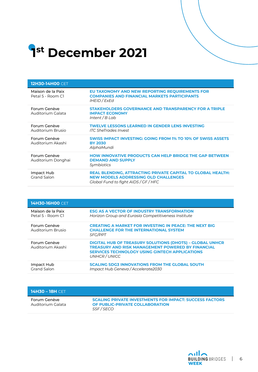## **1 st December 2021**

| <b>12H30-14H00 CET</b>                 |                                                                                                                                                           |
|----------------------------------------|-----------------------------------------------------------------------------------------------------------------------------------------------------------|
| Maison de la Paix<br>Petal 5 - Room C1 | EU TAXONOMY AND NEW REPORTING REQUIREMENTS FOR<br><b>COMPANIES AND FINANCIAL MARKETS PARTICIPANTS</b><br>IHEID / ExEd                                     |
| Forum Genève<br>Auditorium Galata      | <b>STAKEHOLDERS GOVERNANCE AND TRANSPARENCY FOR A TRIPLE</b><br><b>IMPACT ECONOMY</b><br>Intent / $B$ Lab                                                 |
| Forum Genève<br>Auditorium Brusio      | <b>TWELVE LESSONS LEARNED IN GENDER LENS INVESTING</b><br><b>ITC SheTrades Invest</b>                                                                     |
| Forum Genève<br>Auditorium Akashi      | SWISS IMPACT INVESTING: GOING FROM 1% TO 10% OF SWISS ASSETS<br><b>BY 2030</b><br>AlphaMundi                                                              |
| Forum Genève<br>Auditorium Donghai     | <b>HOW INNOVATIVE PRODUCTS CAN HELP BRIDGE THE GAP BETWEEN</b><br><b>DEMAND AND SUPPLY</b><br>Symbiotics                                                  |
| Impact Hub<br><b>Grand Salon</b>       | <b>REAL BLENDING, ATTRACTING PRIVATE CAPITAL TO GLOBAL HEALTH:</b><br><b>NEW MODELS ADDRESSING OLD CHALLENGES</b><br>Global Fund to fight AIDS / GF / HFC |

| <b>14H30-16H00 CET</b>                 |                                                                                                                                                                                                       |
|----------------------------------------|-------------------------------------------------------------------------------------------------------------------------------------------------------------------------------------------------------|
| Maison de la Paix<br>Petal 5 - Room Cl | <b>ESG AS A VECTOR OF INDUSTRY TRANSFORMATION</b><br>Horizon Group and Eurasia Competitiveness Institute                                                                                              |
| Forum Genève<br>Auditorium Brusio      | <b>CREATING A MARKET FOR INVESTING IN PEACE: THE NEXT BIG</b><br><b>CHALLENGE FOR THE INTERNATIONAL SYSTEM</b><br><b>SFG/PPT</b>                                                                      |
| Forum Genève<br>Auditorium Akashi      | <b>DIGITAL HUB OF TREASURY SOLUTIONS (DHOTS) - GLOBAL UNHCR</b><br><b>TREASURY AND RISK MANAGEMENT POWERED BY FINANCIAL</b><br><b>SERVICES TECHNOLOGY USING GINTECH APPLICATIONS</b><br>UNHCR / UNICC |
| Impact Hub<br>Grand Salon              | <b>SCALING SDG3 INNOVATIONS FROM THE GLOBAL SOUTH</b><br>Impact Hub Geneva / Accelerate2030                                                                                                           |

| <b>14H30 – 18H</b> CFT            |                                                                                                                 |
|-----------------------------------|-----------------------------------------------------------------------------------------------------------------|
| Forum Genève<br>Auditorium Galata | <b>SCALING PRIVATE INVESTMENTS FOR IMPACT: SUCCESS FACTORS</b><br>OF PUBLIC-PRIVATE COLLABORATION<br>SSF / SECO |

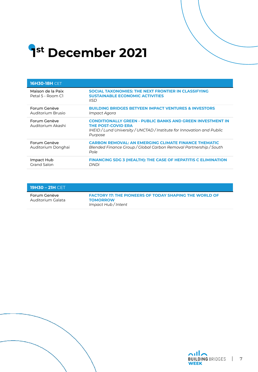## **1 st December 2021**

| <b>16H30-18H CET</b>                   |                                                                                                                                                                                     |
|----------------------------------------|-------------------------------------------------------------------------------------------------------------------------------------------------------------------------------------|
| Maison de la Paix<br>Petal 5 - Room Cl | SOCIAL TAXONOMIES: THE NEXT FRONTIER IN CLASSIFYING<br><b>SUSTAINABLE ECONOMIC ACTIVITIES</b><br><b>IISD</b>                                                                        |
| Forum Genève<br>Auditorium Brusio      | <b>BUILDING BRIDGES BETYEEN IMPACT VENTURES &amp; INVESTORS</b><br>Impact Agora                                                                                                     |
| Forum Genève<br>Auditorium Akashi      | <b>CONDITIONALLY GREEN - PUBLIC BANKS AND GREEN INVESTMENT IN</b><br><b>THE POST-COVID ERA</b><br>IHEID / Lund University / UNCTAD / Institute for Innovation and Public<br>Purpose |
| Forum Genève<br>Auditorium Donghai     | <b>CARBON REMOVAL: AN EMERGING CLIMATE FINANCE THEMATIC</b><br>Blended Finance Group / Global Carbon Removal Partnership / South<br>Pole                                            |
| Impact Hub<br><b>Grand Salon</b>       | <b>FINANCING SDG 3 (HEALTH): THE CASE OF HEPATITIS C ELIMINATION</b><br><b>DNDi</b>                                                                                                 |

| 19H30 – 21H CET                     |                                                                                                         |
|-------------------------------------|---------------------------------------------------------------------------------------------------------|
| Forum Genève<br>- Auditorium Galata | <b>FACTORY 17: THE PIONEERS OF TODAY SHAPING THE WORLD OF</b><br><b>TOMORROW</b><br>Impact Hub / Intent |



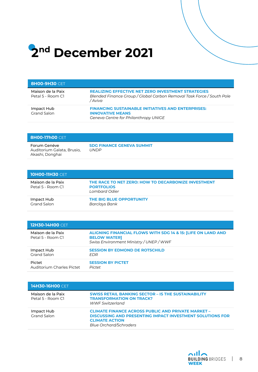### **2nd December 2021**

| <b>8НОО-9Н30 СЕТ.</b>                  |                                                                                                                                               |
|----------------------------------------|-----------------------------------------------------------------------------------------------------------------------------------------------|
| Maison de la Paix<br>Petal 5 - Room C1 | <b>REALIZING EFFECTIVE NET ZERO INVESTMENT STRATEGIES</b><br>Blended Finance Group / Global Carbon Removal Task Force / South Pole<br>/ Aviva |
| Impact Hub<br><b>Grand Salon</b>       | <b>FINANCING SUSTAINABLE INITIATIVES AND ENTERPRISES:</b><br><b>INNOVATIVE MEANS</b><br>Geneva Centre for Philanthropy UNIGE                  |

| <b>BH00-17h00</b> CET.                                        |                                                 |
|---------------------------------------------------------------|-------------------------------------------------|
| Forum Genève<br>Auditorium Galata, Brusio,<br>Akashi, Donghai | <b>SDG FINANCE GENEVA SUMMIT</b><br><b>UNDP</b> |

| <b>10H00-11H30</b> CET                 |                                                                                           |
|----------------------------------------|-------------------------------------------------------------------------------------------|
| Maison de la Paix<br>Petal 5 - Room C1 | THE RACE TO NET ZERO: HOW TO DECARBONIZE INVESTMENT<br><b>PORTFOLIOS</b><br>Lombard Odier |
| Impact Hub<br>Grand Salon              | THE BIG BLUE OPPORTUNITY<br>Barclays Bank                                                 |

| <b>12H30-14H00 CET</b>                 |                                                                                                                                           |
|----------------------------------------|-------------------------------------------------------------------------------------------------------------------------------------------|
| Maison de la Paix<br>Petal 5 - Room C1 | <b>ALIGNING FINANCIAL FLOWS WITH SDG 14 &amp; 15: [LIFE ON LAND AND</b><br><b>BELOW WATER]</b><br>Swiss Environment Ministry / UNEP / WWF |
| Impact Hub                             | <b>SESSION BY EDMOND DE ROTSCHILD</b>                                                                                                     |
| <b>Grand Salon</b>                     | <i>FDR</i>                                                                                                                                |
| Pictet                                 | <b>SESSION BY PICTET</b>                                                                                                                  |
| Auditorium Charles Pictet              | <b>Pictet</b>                                                                                                                             |

| <b>14H30-16H00 CET</b>                 |                                                                                                                                                                                         |
|----------------------------------------|-----------------------------------------------------------------------------------------------------------------------------------------------------------------------------------------|
| Maison de la Paix<br>Petal 5 - Room C1 | <b>SWISS RETAIL BANKING SECTOR - IS THE SUSTAINABILITY</b><br><b>TRANSFORMATION ON TRACK?</b><br><b>WWF Switzerland</b>                                                                 |
| Impact Hub<br>Grand Salon              | <b>CLIMATE FINANCE ACROSS PUBLIC AND PRIVATE MARKET -</b><br><b>DISCUSSING AND PRESENTING IMPACT INVESTMENT SOLUTIONS FOR</b><br><b>CLIMATE ACTION</b><br><b>Blue Orchard/Schroders</b> |